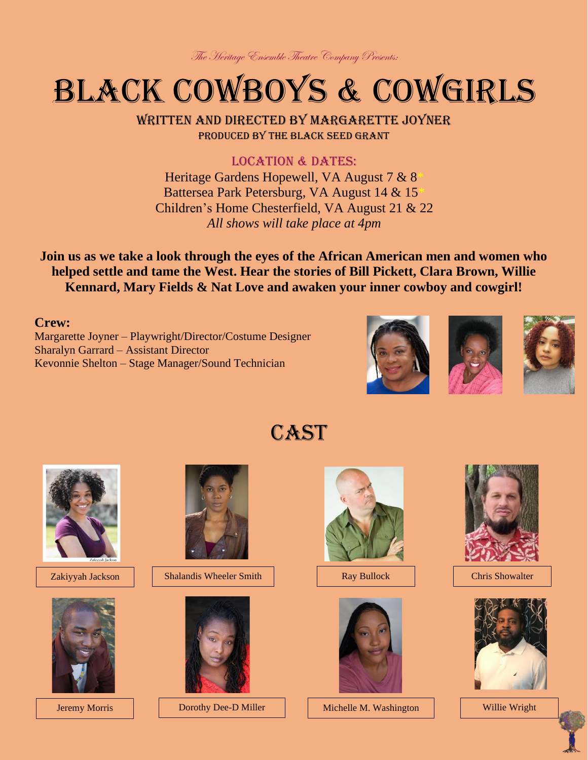The Heritage Ensemble Theatre Company Presents:

## :Black Cowboys & Cowgirls

Written and directed by Margarette Joyner Produced by the black seed grant

LOCATION & DATES: Heritage Gardens Hopewell, VA August 7 & 8\* Battersea Park Petersburg, VA August 14 & 15\* Children's Home Chesterfield, VA August 21 & 22 *All shows will take place at 4pm*

**Join us as we take a look through the eyes of the African American men and women who helped settle and tame the West. Hear the stories of Bill Pickett, Clara Brown, Willie Kennard, Mary Fields & Nat Love and awaken your inner cowboy and cowgirl!**

## **Crew:**

Margarette Joyner – Playwright/Director/Costume Designer Sharalyn Garrard – Assistant Director Kevonnie Shelton – Stage Manager/Sound Technician





**CAST** 







Zakiyyah Jackson | Shalandis Wheeler Smith | Ray Bullock



Dorothy Dee-D Miller





Jeremy Morris | Dorothy Dee-D Miller | Michelle M. Washington | Willie Wright



Chris Showalter

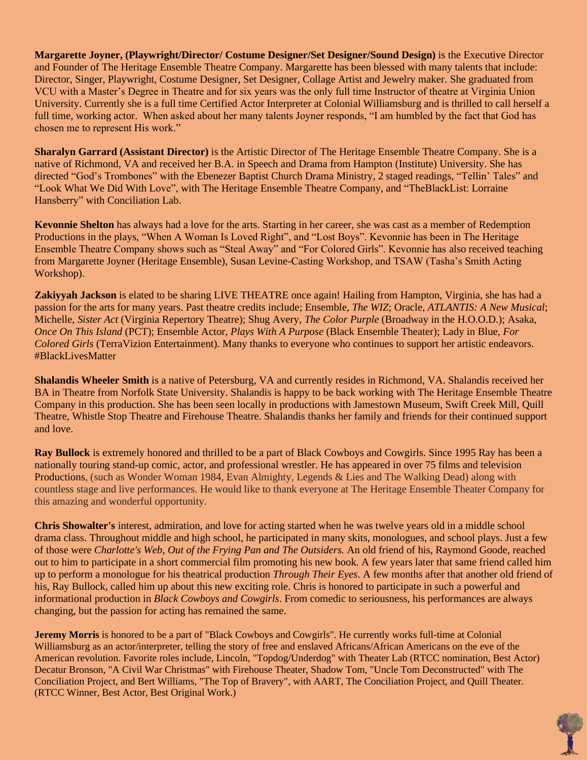**Margarette Joyner, (Playwright/Director/ Costume Designer/Set Designer/Sound Design)** is the Executive Director and Founder of The Heritage Ensemble Theatre Company. Margarette has been blessed with many talents that include: Director, Singer, Playwright, Costume Designer, Set Designer, Collage Artist and Jewelry maker. She graduated from VCU with a Master's Degree in Theatre and for six years was the only full time Instructor of theatre at Virginia Union University. Currently she is a full time Certified Actor Interpreter at Colonial Williamsburg and is thrilled to call herself a full time, working actor. When asked about her many talents Joyner responds, "I am humbled by the fact that God has chosen me to represent His work."

**Sharalyn Garrard (Assistant Director)** is the Artistic Director of The Heritage Ensemble Theatre Company. She is a native of Richmond, VA and received her B.A. in Speech and Drama from Hampton (Institute) University. She has directed "God's Trombones" with the Ebenezer Baptist Church Drama Ministry, 2 staged readings, "Tellin' Tales" and "Look What We Did With Love", with The Heritage Ensemble Theatre Company, and "TheBlackList: Lorraine Hansberry" with Conciliation Lab.

**Kevonnie Shelton** has always had a love for the arts. Starting in her career, she was cast as a member of Redemption Productions in the plays, "When A Woman Is Loved Right", and "Lost Boys". Kevonnie has been in The Heritage Ensemble Theatre Company shows such as "Steal Away" and "For Colored Girls". Kevonnie has also received teaching from Margarette Joyner (Heritage Ensemble), Susan Levine-Casting Workshop, and TSAW (Tasha's Smith Acting Workshop).

**Zakiyyah Jackson** is elated to be sharing LIVE THEATRE once again! Hailing from Hampton, Virginia, she has had a passion for the arts for many years. Past theatre credits include; Ensemble, *The WIZ*; Oracle, *ATLANTIS: A New Musical*; Michelle, *Sister Act* (Virginia Repertory Theatre); Shug Avery, *The Color Purple* (Broadway in the H.O.O.D.); Asaka, *Once On This Island* (PCT); Ensemble Actor, *Plays With A Purpose* (Black Ensemble Theater); Lady in Blue, *For Colored Girls* (TerraVizion Entertainment). Many thanks to everyone who continues to support her artistic endeavors. #BlackLivesMatter

**Shalandis Wheeler Smith** is a native of Petersburg, VA and currently resides in Richmond, VA. Shalandis received her BA in Theatre from Norfolk State University. Shalandis is happy to be back working with The Heritage Ensemble Theatre Company in this production. She has been seen locally in productions with Jamestown Museum, Swift Creek Mill, Quill Theatre, Whistle Stop Theatre and Firehouse Theatre. Shalandis thanks her family and friends for their continued support and love.

**Ray Bullock** is extremely honored and thrilled to be a part of Black Cowboys and Cowgirls. Since 1995 Ray has been a nationally touring stand-up comic, actor, and professional wrestler. He has appeared in over 75 films and television Productions, (such as Wonder Woman 1984, Evan Almighty, Legends & Lies and The Walking Dead) along with countless stage and live performances. He would like to thank everyone at The Heritage Ensemble Theater Company for this amazing and wonderful opportunity.

**Chris Showalter's** interest, admiration, and love for acting started when he was twelve years old in a middle school drama class. Throughout middle and high school, he participated in many skits, monologues, and school plays. Just a few of those were *Charlotte's Web, Out of the Frying Pan and The Outsiders.* An old friend of his, Raymond Goode, reached out to him to participate in a short commercial film promoting his new book. A few years later that same friend called him up to perform a monologue for his theatrical production *Through Their Eyes*. A few months after that another old friend of his, Ray Bullock, called him up about this new exciting role. Chris is honored to participate in such a powerful and informational production in *Black Cowboys and Cowgirls*. From comedic to seriousness, his performances are always changing, but the passion for acting has remained the same.

**Jeremy Morris** is honored to be a part of "Black Cowboys and Cowgirls". He currently works full-time at Colonial Williamsburg as an actor/interpreter, telling the story of free and enslaved Africans/African Americans on the eve of the American revolution. Favorite roles include, Lincoln, "Topdog/Underdog" with Theater Lab (RTCC nomination, Best Actor) Decatur Bronson, "A Civil War Christmas" with Firehouse Theater, Shadow Tom, "Uncle Tom Deconstructed" with The Conciliation Project, and Bert Williams, "The Top of Bravery", with AART, The Conciliation Project, and Quill Theater. (RTCC Winner, Best Actor, Best Original Work.)